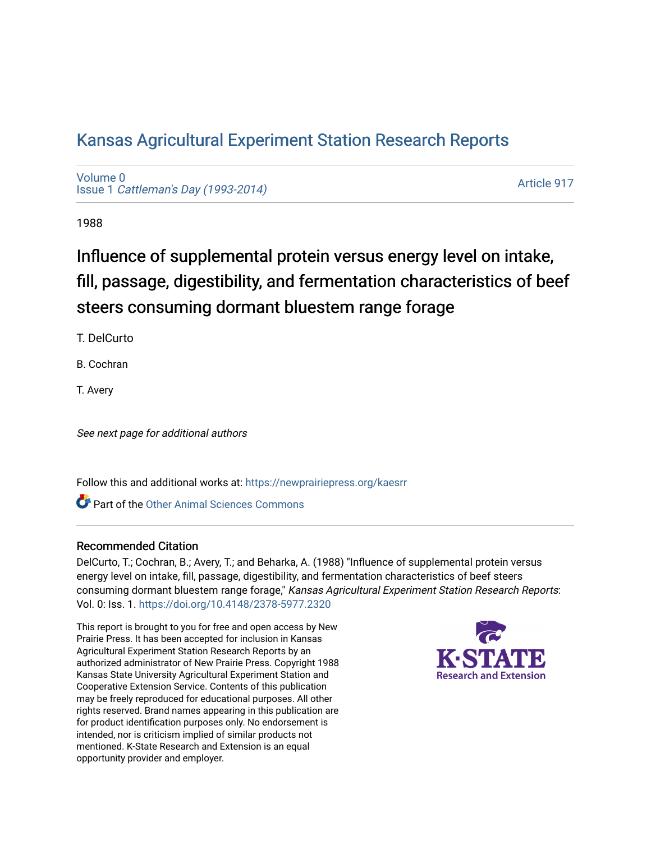# [Kansas Agricultural Experiment Station Research Reports](https://newprairiepress.org/kaesrr)

[Volume 0](https://newprairiepress.org/kaesrr/vol0) Issue 1 [Cattleman's Day \(1993-2014\)](https://newprairiepress.org/kaesrr/vol0/iss1) 

[Article 917](https://newprairiepress.org/kaesrr/vol0/iss1/917) 

1988

# Influence of supplemental protein versus energy level on intake, fill, passage, digestibility, and fermentation characteristics of beef steers consuming dormant bluestem range forage

T. DelCurto

B. Cochran

T. Avery

See next page for additional authors

Follow this and additional works at: [https://newprairiepress.org/kaesrr](https://newprairiepress.org/kaesrr?utm_source=newprairiepress.org%2Fkaesrr%2Fvol0%2Fiss1%2F917&utm_medium=PDF&utm_campaign=PDFCoverPages) 

**C** Part of the [Other Animal Sciences Commons](http://network.bepress.com/hgg/discipline/82?utm_source=newprairiepress.org%2Fkaesrr%2Fvol0%2Fiss1%2F917&utm_medium=PDF&utm_campaign=PDFCoverPages)

## Recommended Citation

DelCurto, T.; Cochran, B.; Avery, T.; and Beharka, A. (1988) "Influence of supplemental protein versus energy level on intake, fill, passage, digestibility, and fermentation characteristics of beef steers consuming dormant bluestem range forage," Kansas Agricultural Experiment Station Research Reports: Vol. 0: Iss. 1. <https://doi.org/10.4148/2378-5977.2320>

This report is brought to you for free and open access by New Prairie Press. It has been accepted for inclusion in Kansas Agricultural Experiment Station Research Reports by an authorized administrator of New Prairie Press. Copyright 1988 Kansas State University Agricultural Experiment Station and Cooperative Extension Service. Contents of this publication may be freely reproduced for educational purposes. All other rights reserved. Brand names appearing in this publication are for product identification purposes only. No endorsement is intended, nor is criticism implied of similar products not mentioned. K-State Research and Extension is an equal opportunity provider and employer.

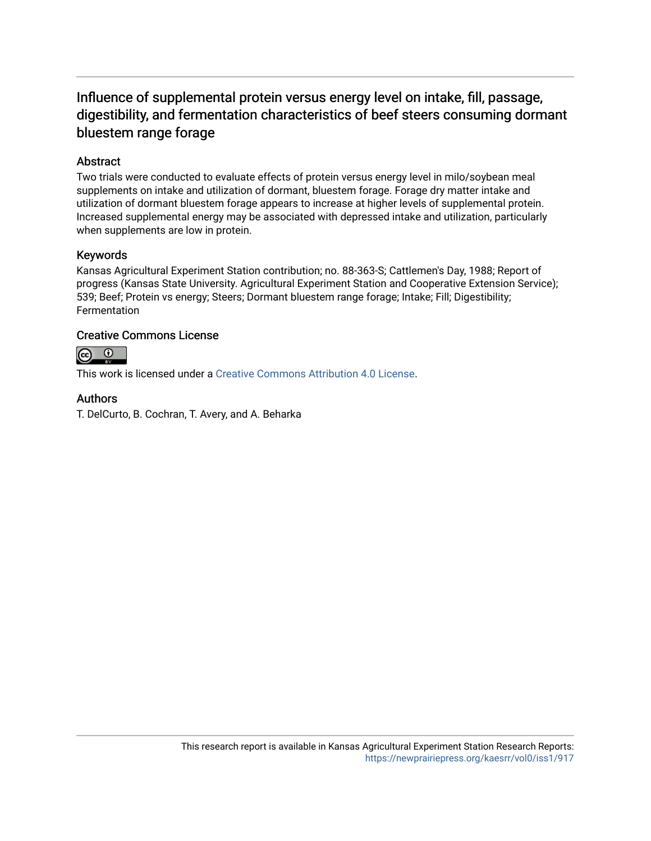# Influence of supplemental protein versus energy level on intake, fill, passage, digestibility, and fermentation characteristics of beef steers consuming dormant bluestem range forage

# **Abstract**

Two trials were conducted to evaluate effects of protein versus energy level in milo/soybean meal supplements on intake and utilization of dormant, bluestem forage. Forage dry matter intake and utilization of dormant bluestem forage appears to increase at higher levels of supplemental protein. Increased supplemental energy may be associated with depressed intake and utilization, particularly when supplements are low in protein.

## Keywords

Kansas Agricultural Experiment Station contribution; no. 88-363-S; Cattlemen's Day, 1988; Report of progress (Kansas State University. Agricultural Experiment Station and Cooperative Extension Service); 539; Beef; Protein vs energy; Steers; Dormant bluestem range forage; Intake; Fill; Digestibility; Fermentation

## Creative Commons License



This work is licensed under a [Creative Commons Attribution 4.0 License](https://creativecommons.org/licenses/by/4.0/).

## Authors

T. DelCurto, B. Cochran, T. Avery, and A. Beharka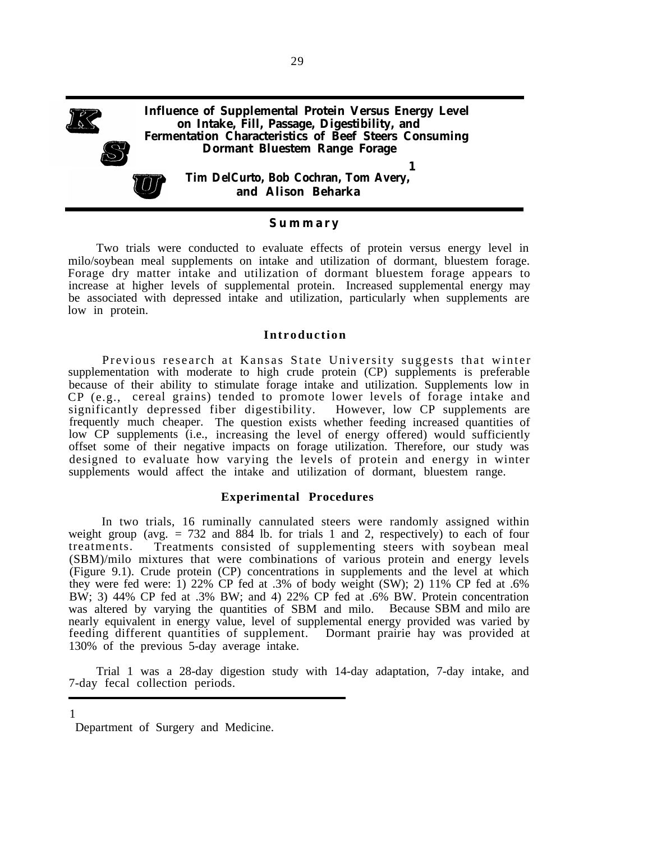

#### **Summar y**

Two trials were conducted to evaluate effects of protein versus energy level in milo/soybean meal supplements on intake and utilization of dormant, bluestem forage. Forage dry matter intake and utilization of dormant bluestem forage appears to increase at higher levels of supplemental protein. Increased supplemental energy may be associated with depressed intake and utilization, particularly when supplements are low in protein.

#### **Introduction**

Previous research at Kansas State University suggests that winter supplementation with moderate to high crude protein (CP) supplements is preferable because of their ability to stimulate forage intake and utilization. Supplements low in CP (e.g., cereal grains) tended to promote lower levels of forage intake and significantly depressed fiber digestibility. However, low CP supplements are frequently much cheaper. The question exists whether feeding increased quantities of low CP supplements (i.e., increasing the level of energy offered) would sufficiently offset some of their negative impacts on forage utilization. Therefore, our study was designed to evaluate how varying the levels of protein and energy in winter supplements would affect the intake and utilization of dormant, bluestem range.

#### **Experimental Procedures**

In two trials, 16 ruminally cannulated steers were randomly assigned within weight group (avg.  $= 732$  and 884 lb. for trials 1 and 2, respectively) to each of four treatments. Treatments consisted of supplementing steers with soybean meal (SBM)/milo mixtures that were combinations of various protein and energy levels (Figure 9.1). Crude protein (CP) concentrations in supplements and the level at which they were fed were: 1) 22% CP fed at .3% of body weight (SW); 2) 11% CP fed at .6% BW; 3) 44% CP fed at .3% BW; and 4) 22% CP fed at .6% BW. Protein concentration was altered by varying the quantities of SBM and milo. Because SBM and milo are nearly equivalent in energy value, level of supplemental energy provided was varied by feeding different quantities of supplement. Dormant prairie hay was provided at 130% of the previous 5-day average intake.

Trial 1 was a 28-day digestion study with 14-day adaptation, 7-day intake, and 7-day fecal collection periods.

Department of Surgery and Medicine.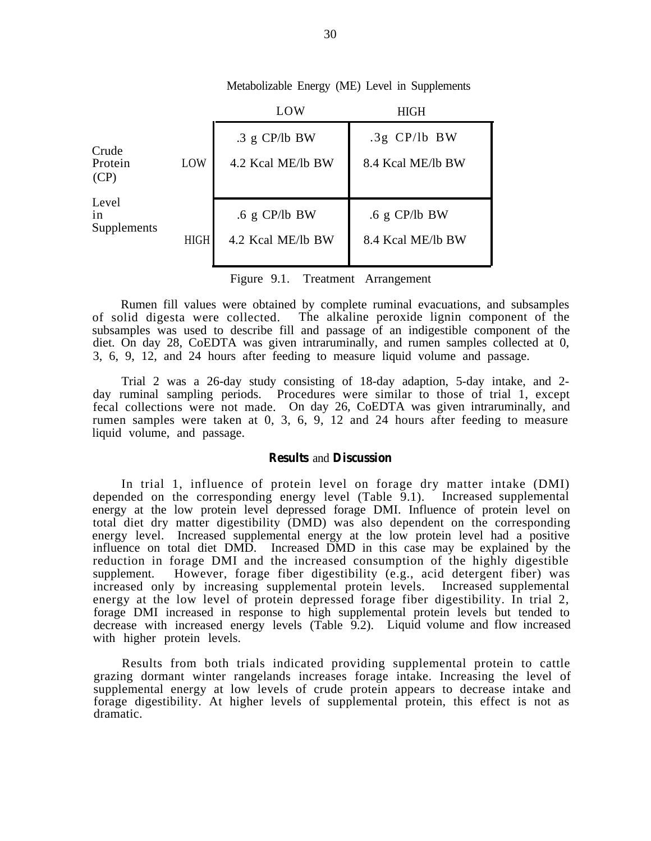|                                 |             | LOW                                  | <b>HIGH</b>                          |  |  |
|---------------------------------|-------------|--------------------------------------|--------------------------------------|--|--|
| Crude<br>Protein<br>LOW<br>(CP) |             | $.3 g$ CP/lb BW<br>4.2 Kcal ME/lb BW | $.3g$ CP/lb BW<br>8.4 Kcal ME/lb BW  |  |  |
| Level<br>1n<br>Supplements      | <b>HIGH</b> | $.6$ g CP/lb BW<br>4.2 Kcal ME/lb BW | $.6$ g CP/lb BW<br>8.4 Kcal ME/lb BW |  |  |

Metabolizable Energy (ME) Level in Supplements

Figure 9.1. Treatment Arrangement

Rumen fill values were obtained by complete ruminal evacuations, and subsamples of solid digesta were collected. The alkaline peroxide lignin component of the The alkaline peroxide lignin component of the subsamples was used to describe fill and passage of an indigestible component of the diet. On day 28, CoEDTA was given intraruminally, and rumen samples collected at 0, 3, 6, 9, 12, and 24 hours after feeding to measure liquid volume and passage.

Trial 2 was a 26-day study consisting of 18-day adaption, 5-day intake, and 2 day ruminal sampling periods. Procedures were similar to those of trial 1, except fecal collections were not made. On day 26, CoEDTA was given intraruminally, and rumen samples were taken at 0, 3, 6, 9, 12 and 24 hours after feeding to measure liquid volume, and passage.

#### **Results** and **Discussion**

In trial 1, influence of protein level on forage dry matter intake (DMI) depended on the corresponding energy level (Table 9.1). Increased supplemental energy at the low protein level depressed forage DMI. Influence of protein level on total diet dry matter digestibility (DMD) was also dependent on the corresponding energy level. Increased supplemental energy at the low protein level had a positive influence on total diet DMD. Increased DMD in this case may be explained by the reduction in forage DMI and the increased consumption of the highly digestible supplement. However, forage fiber digestibility (e.g., acid detergent fiber) was increased only by increasing supplemental protein levels. Increased supplemental energy at the low level of protein depressed forage fiber digestibility. In trial 2, forage DMI increased in response to high supplemental protein levels but tended to decrease with increased energy levels (Table 9.2). Liquid volume and flow increased with higher protein levels.

Results from both trials indicated providing supplemental protein to cattle grazing dormant winter rangelands increases forage intake. Increasing the level of supplemental energy at low levels of crude protein appears to decrease intake and forage digestibility. At higher levels of supplemental protein, this effect is not as dramatic.